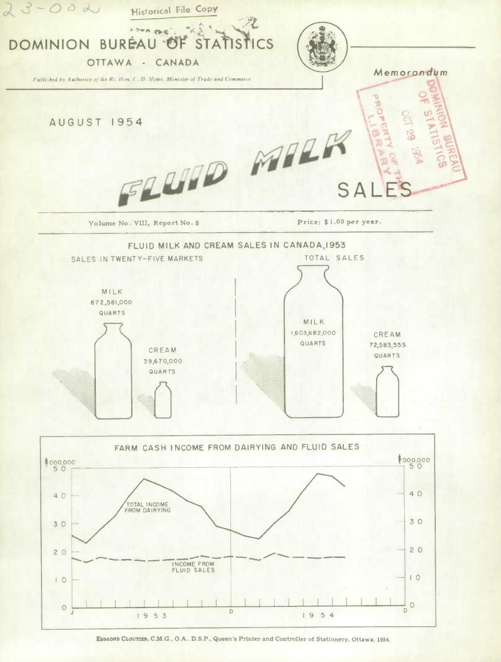

EDMOND CLOUTIER, C.M.G., O.A., D.S.P., Queen's Printer and Controller of Stationery, Ottawa, 1954.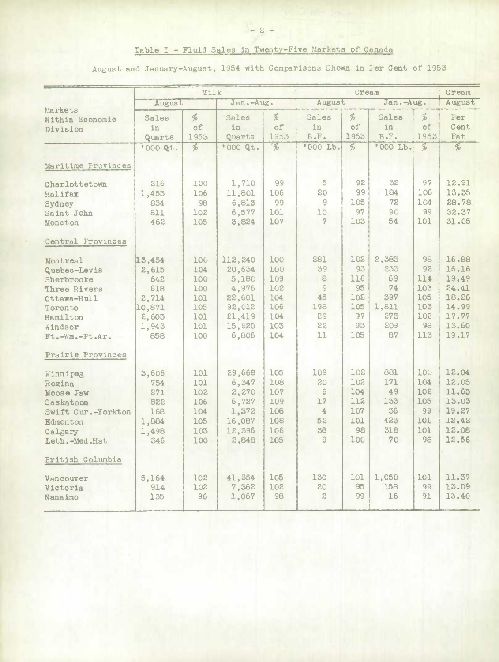August and January-August, 1954 with Comparisons Shown in Per Cent of 1953

|                            |          | Milk          |           |                          |              | Cream          |           |               |                                    |
|----------------------------|----------|---------------|-----------|--------------------------|--------------|----------------|-----------|---------------|------------------------------------|
|                            | August   |               | Jan.-Aug. |                          | August       |                | Jan.-Aug. |               | August                             |
| Markets<br>Within Economic | Sales    | %             | Sales     | $\frac{d}{d}$            | Sales        | $\frac{d}{d}$  | Sales     | $\mathcal{R}$ | Fer                                |
| Division                   | in       | of            | in        | of                       | in           | of             | 1n        | of            | Cent                               |
|                            | Quarts   | 1953          | Quarts    | 1953                     | $B - F -$    | 1953           | B F.      | 1953          | Fat                                |
|                            | '000 Qt. | $\frac{1}{2}$ | '000 Qt.  | $\overline{\mathscr{C}}$ | '000 Lb.     | $\frac{d}{20}$ | '000 Lb.  | $\frac{d}{d}$ | $\overline{\phi}_{\!\!\mathit{b}}$ |
| Maritime Provinces         |          |               |           |                          |              |                |           |               |                                    |
| Charlottetown              | 216      | 100           | 1,710     | 99                       | 5            | 92             | 32        | 97            | 12.91                              |
| Halifax                    | 1,453    | 106           | 11,801    | 106                      | 20           | 99             | 184       | 106           | 13.35                              |
| Sydney                     | 834      | 98            | 6,813     | 99                       | 9            | 105            | 72        | 104           | 28.78                              |
| Saint John                 | 811      | 102           | 6,577     | 101                      | 10           | 97             | 90        | 99            | 32.37                              |
| Moncton                    | 462      | 105           | 3,824     | 107                      | 7            | 103            | 54        | 101           | 31.05                              |
| Central Frovinces          |          |               |           |                          |              |                |           |               |                                    |
| Montreal                   | 13,454   | 100           | 112,240   | 100                      | 281          | 102            | 2,383     | 98            | 16.88                              |
| Quebec-Levis               | 2,615    | 104           | 20,634    | 100                      | 39           | 93             | 233       | 92            | 16.16                              |
| Sherbrooke                 | 642      | 100           | 5,180     | 109                      | 8            | 116            | 69        | 114           | 19.49                              |
| Three Rivers               | 618      | 100           | 4,976     | 102                      | 9            | 95             | 74        | 103           | 24.41                              |
| Ottawa-Hull                | 2,714    | 101           | 22,601    | 104                      | 45           | 102            | 397       | 105           | 18.26                              |
| Toronto                    | 10,871   | 105           | 92,012    | 106                      | 198          | 105            | 1,811     | 103           | 14.99                              |
| Hamilton                   | 2,603    | 101           | 21,419    | 104                      | 29           | 97             | 273       | 102           | 17.77                              |
| Windsor                    | 1,943    | 101           | 15,620    | 103                      | 22           | 93             | 209       | 98            | 13.60                              |
| Ft.-Wm.-Pt.Ar.             | 858      | 100           | 6,806     | 104                      | 11           | 105            | 87        | 113           | 19.17                              |
| Prairie Provinces          |          |               |           |                          |              |                |           |               |                                    |
| Winnipeg                   | 3,606    | 101           | 29,668    | 105                      | 109          | 102            | 881       | 100           | 12.04                              |
| Regina                     | 754      | 101           | 6,347     | 108                      | 20           | 102            | 171       | 104           | 12.05                              |
| Moose Jaw                  | 271      | 102           | 2,270     | 107                      | 6            | 104            | 49        | 102           | 11.63                              |
| Saskatoon                  | 822      | 106           | 6,727     | 109                      | 17           | 112            | 133       | 105           | 13.03                              |
| Swift Cur.-Yorkton         | 168      | 104           | 1,372     | 108                      | $\triangle$  | 107            | 36        | 99            | 19.27                              |
| Edmonton                   | 1,884    | 105           | 16,087    | 108                      | 52           | 101            | 423       | 101           | 12.42                              |
| Calgary                    | 1,498    | 103           | 12,396    | 106                      | 38           | 98             | 318       | 101           | 12.08                              |
| Leth.-Med.Hat              | 346      | 100           | 2,848     | 105                      | 9            | 100            | 70        | 98            | 12.56                              |
| British Columbia           |          |               |           |                          |              |                |           |               |                                    |
| Vancouver                  | 5,164    | 102           | 41,354    | 105                      | 130          | 101            | 1,050     | 101           | 11.37                              |
| Victoria                   | 914      | 102           | 7,362     | 102                      | 20           | 95             | 158       | 99            | 13.09                              |
| Nanaimo                    | 135      | 96            | 1,067     | 98                       | $\mathbf{2}$ | 99             | 16        | 91            | 13.40                              |
|                            |          |               |           |                          |              |                |           |               |                                    |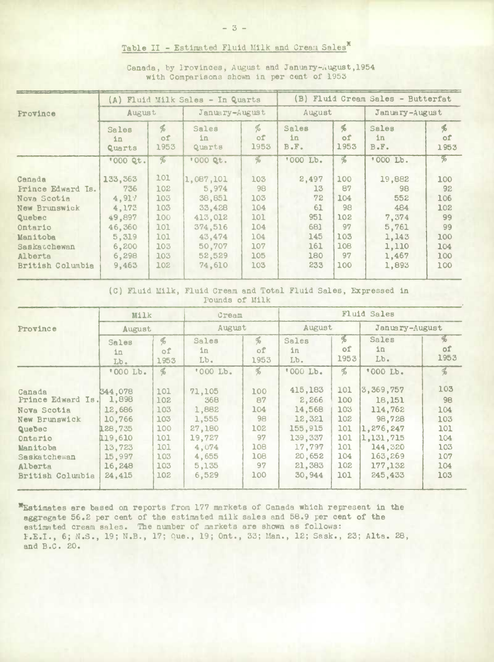## Table II - Estimated Fluid Milk and Cream Sales\*

|                     |                       |                             | (A) Fluid Milk Sales - In Quarts |                  |                     |                             | (B) Fluid Cream Sales - Butterfat |                 |
|---------------------|-----------------------|-----------------------------|----------------------------------|------------------|---------------------|-----------------------------|-----------------------------------|-----------------|
| Province            | August                |                             | January-August                   |                  | August              |                             | January-August                    |                 |
|                     | Sales<br>1n<br>Quarts | $\frac{d}{2}$<br>of<br>1953 | Sales<br>in<br>Quarts            | %<br>of.<br>1953 | Sales<br>in<br>B.F. | $\frac{d}{2}$<br>of<br>1953 | Sales<br>in<br>$B - F -$          | 唏<br>of<br>1953 |
|                     | '000 Qt.              | %                           | '000 Qt.                         | $\frac{a}{b}$    | '000 Lb.            | L                           | '000 Lb.                          | %               |
| sbane:              | 133, 363              | 101                         | 1,087,101                        | 103              | 2,497               | 100                         | 19,882                            | 100             |
| Frince Edward Is.   | 736                   | 102                         | 5,974                            | 98               | 13                  | 87                          | 98                                | 92              |
| <b>Jova Scotia</b>  | 4,917                 | 103                         | 38,851                           | 103              | 72                  | 104                         | 552                               | 106             |
| Jew Brunswick       | 4,173                 | 103                         | 33,428                           | 104              | 61                  | 98                          | 484                               | 102             |
| luebec              | 49,897                | 100                         | 413,012                          | 101              | 951                 | 102                         | 7,374                             | 99              |
| <b>Intario</b>      | 46,360                | 101                         | 374,516                          | 104              | 681                 | 97                          | 5,761                             | 99              |
| Aanitoba            | 5,319                 | 101                         | 43,474                           | 104              | 145                 | 103                         | 1,143                             | 100             |
| <b>Baskacchewan</b> | 6,200                 | 103                         | 50,707                           | 107              | 161                 | 108                         | 1,110                             | 104             |
| Alberta             | 6,298                 | 103                         | 52,529                           | 105              | 180                 | 97                          | 1,467                             | 100             |
| British Columbia    | 9,463                 | 102                         | 74,610                           | 103              | 233                 | 100                         | 1,893                             | 100             |
|                     |                       |                             |                                  |                  |                     |                             |                                   |                 |

 $\mathsf{C}$ 

Canada, by Provinces, August and January-August, 1954 with Comparisons shown in per cent of 1953

(C) Fluid Milk, Fluid Cream and Total Fluid Sales, Expressed in Pounds of Milk

|                                                                                     | Milk                                                       |                                        | Cream                                                |                                      | <b>Fluid Sales</b>                                         |                                        |                                                                    |                                        |
|-------------------------------------------------------------------------------------|------------------------------------------------------------|----------------------------------------|------------------------------------------------------|--------------------------------------|------------------------------------------------------------|----------------------------------------|--------------------------------------------------------------------|----------------------------------------|
| Province                                                                            | August                                                     |                                        | August                                               |                                      | August                                                     |                                        | January-August                                                     |                                        |
|                                                                                     | <b>Sales</b><br>in<br>Lb.                                  | ф<br>оf<br>1953                        | Sales<br>ln<br>Lb.                                   | $\frac{96}{6}$<br>of<br>1953         | Sales<br>in<br>Lb.                                         | $\%$<br>оf<br>1953                     | Sales<br>in<br>$Lb$ .                                              | $\%$<br>of<br>1953                     |
|                                                                                     | '000 Lb.                                                   | $\frac{a}{b}$                          | '000 Lb.                                             | $\%$                                 | '000 Lb.                                                   | $\mathcal{F}_{\infty}$                 | '000 Lb.                                                           | $\%$                                   |
| Canada<br>Prince Edward Is.<br>Nova Scotia<br>New Brunswick                         | 344,078<br>1,898<br>12,686<br>10,766                       | 101<br>102<br>103<br>103               | 71,105<br>368<br>1,882<br>1,555                      | 100<br>87<br>104<br>98               | 415,183<br>2,266<br>14,568<br>12,321                       | 101<br>100<br>103<br>102               | 3,369,757<br>18,151<br>114,762<br>98,728                           | 103<br>98<br>104<br>103                |
| <b>Quebec</b><br>Ontario<br>Manitoba<br>Saskatchewan<br>Alberta<br>British Columbia | 128,735<br>119.610<br>13,723<br>15,997<br>16,248<br>24,415 | 100<br>101<br>101<br>103<br>103<br>102 | 27,180<br>19,727<br>4,074<br>4,655<br>5,135<br>6,529 | 102<br>97<br>108<br>108<br>97<br>100 | 155,915<br>139,337<br>17,797<br>20,652<br>21,383<br>30.944 | 101<br>101<br>101<br>104<br>102<br>101 | 1,276,247<br>1,131,715<br>144,320<br>163,269<br>177,132<br>245,433 | 101<br>104<br>103<br>107<br>104<br>103 |
|                                                                                     |                                                            |                                        |                                                      |                                      |                                                            |                                        |                                                                    |                                        |

\*Estimates are based on reports from 177 markets of Canada which represent in the aggregate 56.2 per cent of the estimated milk sales and 58.9 per cent of the estimated cream sales. The number of markets are shown as follows: F.E.I., 6; N.S., 19; N.B., 17; Que., 19; Ont., 33; Man., 12; Sask., 23; Alta. 28, and B.C. 20.